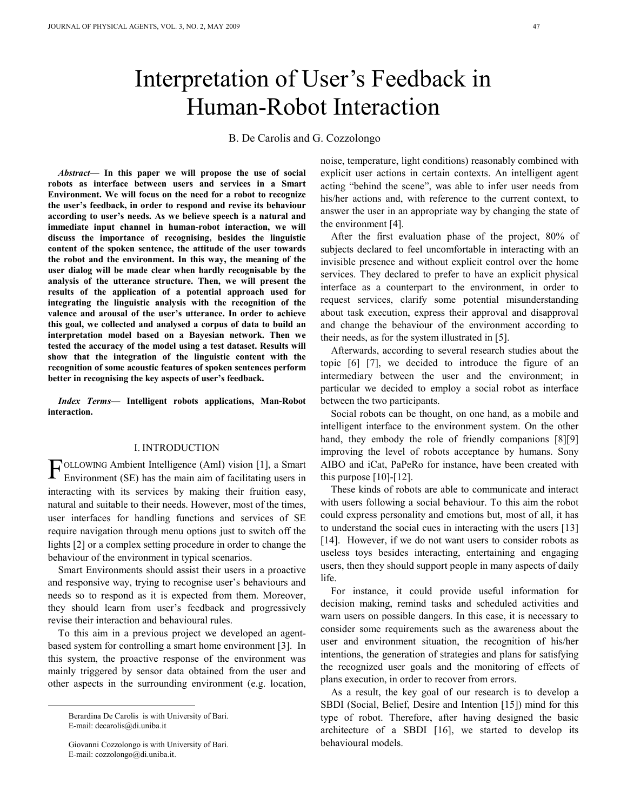# Interpretation of User's Feedback in Human-Robot Interaction

B. De Carolis and G. Cozzolongo

*Abstract***— In this paper we will propose the use of social robots as interface between users and services in a Smart Environment. We will focus on the need for a robot to recognize the user's feedback, in order to respond and revise its behaviour according to user's needs. As we believe speech is a natural and immediate input channel in human-robot interaction, we will discuss the importance of recognising, besides the linguistic content of the spoken sentence, the attitude of the user towards the robot and the environment. In this way, the meaning of the user dialog will be made clear when hardly recognisable by the analysis of the utterance structure. Then, we will present the results of the application of a potential approach used for integrating the linguistic analysis with the recognition of the valence and arousal of the user's utterance. In order to achieve this goal, we collected and analysed a corpus of data to build an interpretation model based on a Bayesian network. Then we tested the accuracy of the model using a test dataset. Results will show that the integration of the linguistic content with the recognition of some acoustic features of spoken sentences perform better in recognising the key aspects of user's feedback.** 

*Index Terms—* **Intelligent robots applications, Man-Robot interaction.** 

#### I. INTRODUCTION

FOLLOWING Ambient Intelligence (AmI) vision [1], a Smart Environment (SE) has the main aim of facilitating users in Environment (SE) has the main aim of facilitating users in interacting with its services by making their fruition easy, natural and suitable to their needs. However, most of the times, user interfaces for handling functions and services of SE require navigation through menu options just to switch off the lights [2] or a complex setting procedure in order to change the behaviour of the environment in typical scenarios.

Smart Environments should assist their users in a proactive and responsive way, trying to recognise user's behaviours and needs so to respond as it is expected from them. Moreover, they should learn from user's feedback and progressively revise their interaction and behavioural rules.

To this aim in a previous project we developed an agentbased system for controlling a smart home environment [3]. In this system, the proactive response of the environment was mainly triggered by sensor data obtained from the user and other aspects in the surrounding environment (e.g. location,

j

 Giovanni Cozzolongo is with University of Bari. E-mail: cozzolongo@di.uniba.it.

noise, temperature, light conditions) reasonably combined with explicit user actions in certain contexts. An intelligent agent acting "behind the scene", was able to infer user needs from his/her actions and, with reference to the current context, to answer the user in an appropriate way by changing the state of the environment [4].

After the first evaluation phase of the project, 80% of subjects declared to feel uncomfortable in interacting with an invisible presence and without explicit control over the home services. They declared to prefer to have an explicit physical interface as a counterpart to the environment, in order to request services, clarify some potential misunderstanding about task execution, express their approval and disapproval and change the behaviour of the environment according to their needs, as for the system illustrated in [5].

Afterwards, according to several research studies about the topic [6] [7], we decided to introduce the figure of an intermediary between the user and the environment; in particular we decided to employ a social robot as interface between the two participants.

Social robots can be thought, on one hand, as a mobile and intelligent interface to the environment system. On the other hand, they embody the role of friendly companions [8][9] improving the level of robots acceptance by humans. Sony AIBO and iCat, PaPeRo for instance, have been created with this purpose  $[10]-[12]$ .

These kinds of robots are able to communicate and interact with users following a social behaviour. To this aim the robot could express personality and emotions but, most of all, it has to understand the social cues in interacting with the users [13] [14]. However, if we do not want users to consider robots as useless toys besides interacting, entertaining and engaging users, then they should support people in many aspects of daily life.

For instance, it could provide useful information for decision making, remind tasks and scheduled activities and warn users on possible dangers. In this case, it is necessary to consider some requirements such as the awareness about the user and environment situation, the recognition of his/her intentions, the generation of strategies and plans for satisfying the recognized user goals and the monitoring of effects of plans execution, in order to recover from errors.

As a result, the key goal of our research is to develop a SBDI (Social, Belief, Desire and Intention [15]) mind for this type of robot. Therefore, after having designed the basic architecture of a SBDI [16], we started to develop its behavioural models.

Berardina De Carolis is with University of Bari. E-mail: decarolis@di.uniba.it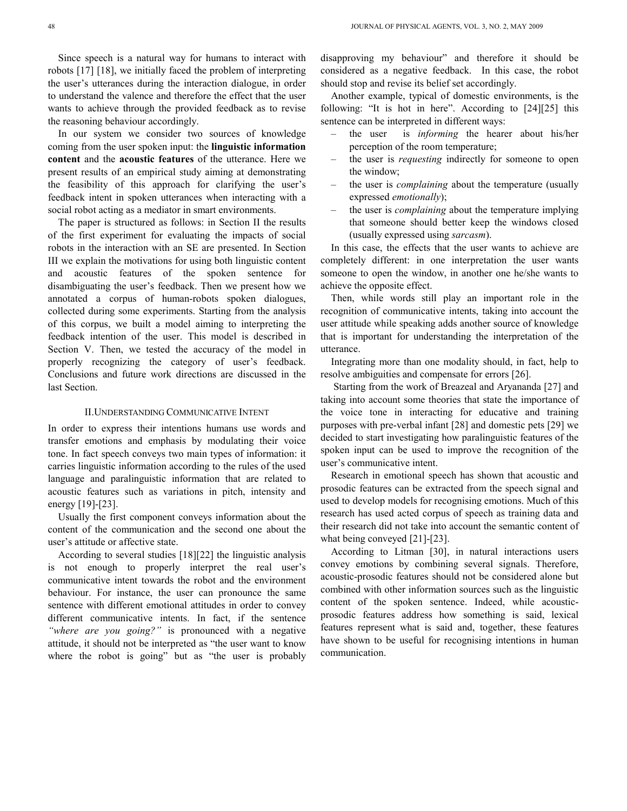Since speech is a natural way for humans to interact with robots [17] [18], we initially faced the problem of interpreting the user's utterances during the interaction dialogue, in order to understand the valence and therefore the effect that the user wants to achieve through the provided feedback as to revise the reasoning behaviour accordingly.

In our system we consider two sources of knowledge coming from the user spoken input: the **linguistic information content** and the **acoustic features** of the utterance. Here we present results of an empirical study aiming at demonstrating the feasibility of this approach for clarifying the user's feedback intent in spoken utterances when interacting with a social robot acting as a mediator in smart environments.

The paper is structured as follows: in Section II the results of the first experiment for evaluating the impacts of social robots in the interaction with an SE are presented. In Section III we explain the motivations for using both linguistic content and acoustic features of the spoken sentence for disambiguating the user's feedback. Then we present how we annotated a corpus of human-robots spoken dialogues, collected during some experiments. Starting from the analysis of this corpus, we built a model aiming to interpreting the feedback intention of the user. This model is described in Section V. Then, we tested the accuracy of the model in properly recognizing the category of user's feedback. Conclusions and future work directions are discussed in the last Section.

#### II.UNDERSTANDING COMMUNICATIVE INTENT

In order to express their intentions humans use words and transfer emotions and emphasis by modulating their voice tone. In fact speech conveys two main types of information: it carries linguistic information according to the rules of the used language and paralinguistic information that are related to acoustic features such as variations in pitch, intensity and energy [19]-[23].

Usually the first component conveys information about the content of the communication and the second one about the user's attitude or affective state.

According to several studies [18][22] the linguistic analysis is not enough to properly interpret the real user's communicative intent towards the robot and the environment behaviour. For instance, the user can pronounce the same sentence with different emotional attitudes in order to convey different communicative intents. In fact, if the sentence *"where are you going?"* is pronounced with a negative attitude, it should not be interpreted as "the user want to know where the robot is going" but as "the user is probably

disapproving my behaviour" and therefore it should be considered as a negative feedback. In this case, the robot should stop and revise its belief set accordingly.

Another example, typical of domestic environments, is the following: "It is hot in here". According to [24][25] this sentence can be interpreted in different ways:

- the user is *informing* the hearer about his/her perception of the room temperature;
- the user is *requesting* indirectly for someone to open the window;
- the user is *complaining* about the temperature (usually expressed *emotionally*);
- the user is *complaining* about the temperature implying that someone should better keep the windows closed (usually expressed using *sarcasm*).

In this case, the effects that the user wants to achieve are completely different: in one interpretation the user wants someone to open the window, in another one he/she wants to achieve the opposite effect.

Then, while words still play an important role in the recognition of communicative intents, taking into account the user attitude while speaking adds another source of knowledge that is important for understanding the interpretation of the utterance.

Integrating more than one modality should, in fact, help to resolve ambiguities and compensate for errors [26].

 Starting from the work of Breazeal and Aryananda [27] and taking into account some theories that state the importance of the voice tone in interacting for educative and training purposes with pre-verbal infant [28] and domestic pets [29] we decided to start investigating how paralinguistic features of the spoken input can be used to improve the recognition of the user's communicative intent.

Research in emotional speech has shown that acoustic and prosodic features can be extracted from the speech signal and used to develop models for recognising emotions. Much of this research has used acted corpus of speech as training data and their research did not take into account the semantic content of what being conveyed [21]-[23].

According to Litman [30], in natural interactions users convey emotions by combining several signals. Therefore, acoustic-prosodic features should not be considered alone but combined with other information sources such as the linguistic content of the spoken sentence. Indeed, while acousticprosodic features address how something is said, lexical features represent what is said and, together, these features have shown to be useful for recognising intentions in human communication.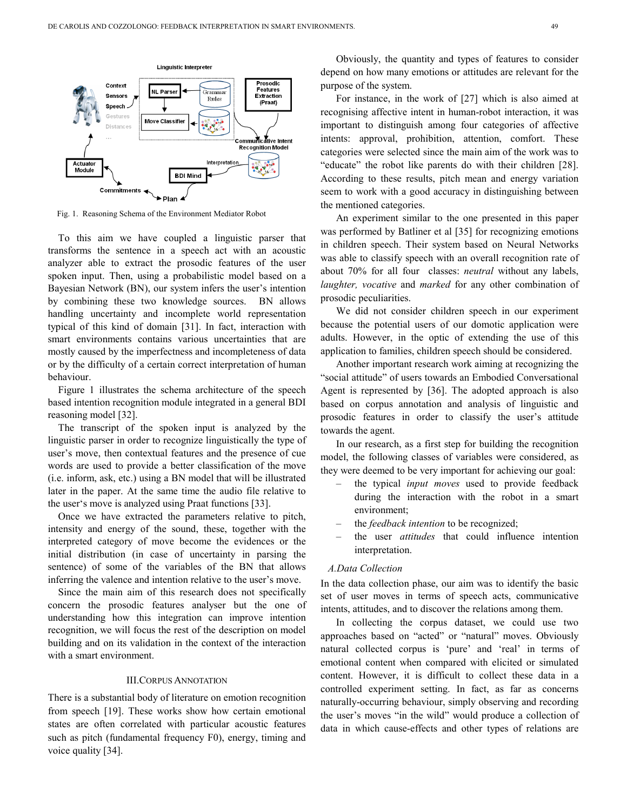

Fig. 1. Reasoning Schema of the Environment Mediator Robot

To this aim we have coupled a linguistic parser that transforms the sentence in a speech act with an acoustic analyzer able to extract the prosodic features of the user spoken input. Then, using a probabilistic model based on a Bayesian Network (BN), our system infers the user's intention by combining these two knowledge sources. BN allows handling uncertainty and incomplete world representation typical of this kind of domain [31]. In fact, interaction with smart environments contains various uncertainties that are mostly caused by the imperfectness and incompleteness of data or by the difficulty of a certain correct interpretation of human behaviour.

Figure 1 illustrates the schema architecture of the speech based intention recognition module integrated in a general BDI reasoning model [32].

The transcript of the spoken input is analyzed by the linguistic parser in order to recognize linguistically the type of user's move, then contextual features and the presence of cue words are used to provide a better classification of the move (i.e. inform, ask, etc.) using a BN model that will be illustrated later in the paper. At the same time the audio file relative to the user's move is analyzed using Praat functions [33].

Once we have extracted the parameters relative to pitch, intensity and energy of the sound, these, together with the interpreted category of move become the evidences or the initial distribution (in case of uncertainty in parsing the sentence) of some of the variables of the BN that allows inferring the valence and intention relative to the user's move.

Since the main aim of this research does not specifically concern the prosodic features analyser but the one of understanding how this integration can improve intention recognition, we will focus the rest of the description on model building and on its validation in the context of the interaction with a smart environment.

#### III.CORPUS ANNOTATION

There is a substantial body of literature on emotion recognition from speech [19]. These works show how certain emotional states are often correlated with particular acoustic features such as pitch (fundamental frequency F0), energy, timing and voice quality [34].

Obviously, the quantity and types of features to consider depend on how many emotions or attitudes are relevant for the purpose of the system.

For instance, in the work of [27] which is also aimed at recognising affective intent in human-robot interaction, it was important to distinguish among four categories of affective intents: approval, prohibition, attention, comfort. These categories were selected since the main aim of the work was to "educate" the robot like parents do with their children [28]. According to these results, pitch mean and energy variation seem to work with a good accuracy in distinguishing between the mentioned categories.

An experiment similar to the one presented in this paper was performed by Batliner et al [35] for recognizing emotions in children speech. Their system based on Neural Networks was able to classify speech with an overall recognition rate of about 70% for all four classes: *neutral* without any labels, *laughter, vocative* and *marked* for any other combination of prosodic peculiarities.

We did not consider children speech in our experiment because the potential users of our domotic application were adults. However, in the optic of extending the use of this application to families, children speech should be considered.

Another important research work aiming at recognizing the "social attitude" of users towards an Embodied Conversational Agent is represented by [36]. The adopted approach is also based on corpus annotation and analysis of linguistic and prosodic features in order to classify the user's attitude towards the agent.

In our research, as a first step for building the recognition model, the following classes of variables were considered, as they were deemed to be very important for achieving our goal:

- the typical *input moves* used to provide feedback during the interaction with the robot in a smart environment;
- the *feedback intention* to be recognized;
- the user *attitudes* that could influence intention interpretation.

## *A.Data Collection*

In the data collection phase, our aim was to identify the basic set of user moves in terms of speech acts, communicative intents, attitudes, and to discover the relations among them.

In collecting the corpus dataset, we could use two approaches based on "acted" or "natural" moves. Obviously natural collected corpus is 'pure' and 'real' in terms of emotional content when compared with elicited or simulated content. However, it is difficult to collect these data in a controlled experiment setting. In fact, as far as concerns naturally-occurring behaviour, simply observing and recording the user's moves "in the wild" would produce a collection of data in which cause-effects and other types of relations are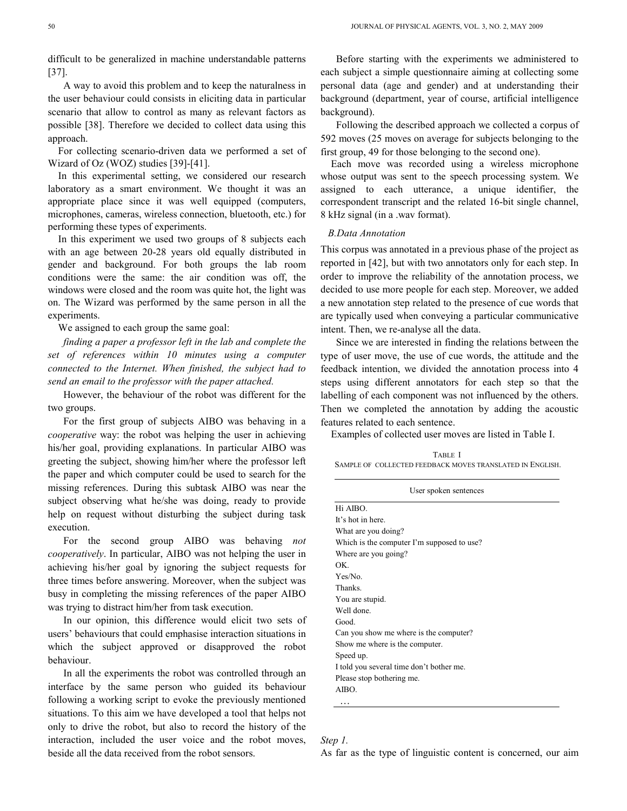difficult to be generalized in machine understandable patterns [37].

A way to avoid this problem and to keep the naturalness in the user behaviour could consists in eliciting data in particular scenario that allow to control as many as relevant factors as possible [38]. Therefore we decided to collect data using this approach.

For collecting scenario-driven data we performed a set of Wizard of Oz (WOZ) studies [39]-[41].

In this experimental setting, we considered our research laboratory as a smart environment. We thought it was an appropriate place since it was well equipped (computers, microphones, cameras, wireless connection, bluetooth, etc.) for performing these types of experiments.

In this experiment we used two groups of 8 subjects each with an age between 20-28 years old equally distributed in gender and background. For both groups the lab room conditions were the same: the air condition was off, the windows were closed and the room was quite hot, the light was on. The Wizard was performed by the same person in all the experiments.

We assigned to each group the same goal:

*finding a paper a professor left in the lab and complete the*  set of references within 10 minutes using a computer *connected to the Internet. When finished, the subject had to send an email to the professor with the paper attached.* 

However, the behaviour of the robot was different for the two groups.

For the first group of subjects AIBO was behaving in a *cooperative* way: the robot was helping the user in achieving his/her goal, providing explanations. In particular AIBO was greeting the subject, showing him/her where the professor left the paper and which computer could be used to search for the missing references. During this subtask AIBO was near the subject observing what he/she was doing, ready to provide help on request without disturbing the subject during task execution.

For the second group AIBO was behaving *not cooperatively*. In particular, AIBO was not helping the user in achieving his/her goal by ignoring the subject requests for three times before answering. Moreover, when the subject was busy in completing the missing references of the paper AIBO was trying to distract him/her from task execution.

In our opinion, this difference would elicit two sets of users' behaviours that could emphasise interaction situations in which the subject approved or disapproved the robot behaviour.

In all the experiments the robot was controlled through an interface by the same person who guided its behaviour following a working script to evoke the previously mentioned situations. To this aim we have developed a tool that helps not only to drive the robot, but also to record the history of the interaction, included the user voice and the robot moves, beside all the data received from the robot sensors.

Before starting with the experiments we administered to each subject a simple questionnaire aiming at collecting some personal data (age and gender) and at understanding their background (department, year of course, artificial intelligence background).

Following the described approach we collected a corpus of 592 moves (25 moves on average for subjects belonging to the first group, 49 for those belonging to the second one).

Each move was recorded using a wireless microphone whose output was sent to the speech processing system. We assigned to each utterance, a unique identifier, the correspondent transcript and the related 16-bit single channel, 8 kHz signal (in a .wav format).

#### *B.Data Annotation*

This corpus was annotated in a previous phase of the project as reported in [42], but with two annotators only for each step. In order to improve the reliability of the annotation process, we decided to use more people for each step. Moreover, we added a new annotation step related to the presence of cue words that are typically used when conveying a particular communicative intent. Then, we re-analyse all the data.

Since we are interested in finding the relations between the type of user move, the use of cue words, the attitude and the feedback intention, we divided the annotation process into 4 steps using different annotators for each step so that the labelling of each component was not influenced by the others. Then we completed the annotation by adding the acoustic features related to each sentence.

Examples of collected user moves are listed in Table I.

TABLE I SAMPLE OF COLLECTED FEEDBACK MOVES TRANSLATED IN ENGLISH.

| User spoken sentences                      |
|--------------------------------------------|
| Hi AIBO.                                   |
| It's hot in here.                          |
| What are you doing?                        |
| Which is the computer I'm supposed to use? |
| Where are you going?                       |
| OK                                         |
| Yes/No.                                    |
| Thanks.                                    |
| You are stupid.                            |
| Well done.                                 |
| Good.                                      |
| Can you show me where is the computer?     |
| Show me where is the computer.             |
| Speed up.                                  |
| I told you several time don't bother me.   |
| Please stop bothering me.                  |
| AIBO.                                      |
| .                                          |

# *Step 1.*

As far as the type of linguistic content is concerned, our aim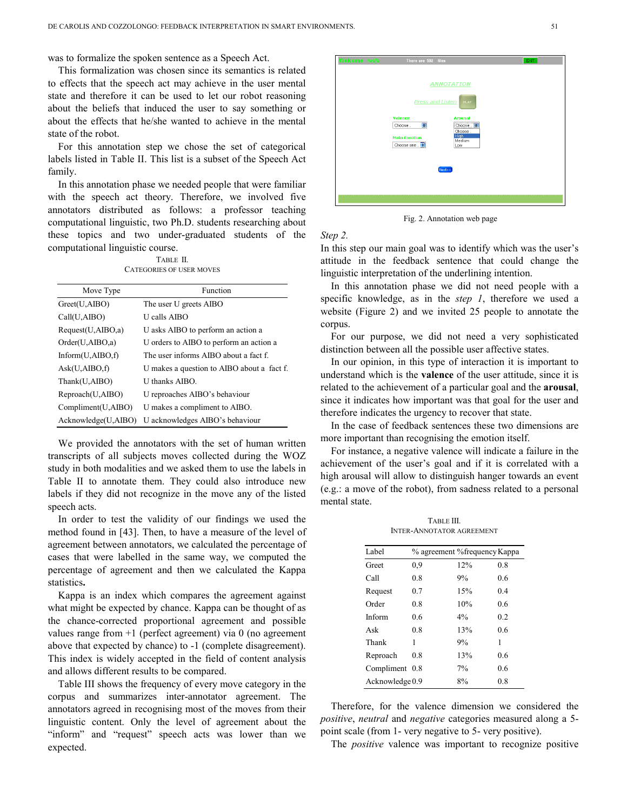was to formalize the spoken sentence as a Speech Act.

This formalization was chosen since its semantics is related to effects that the speech act may achieve in the user mental state and therefore it can be used to let our robot reasoning about the beliefs that induced the user to say something or about the effects that he/she wanted to achieve in the mental state of the robot.

For this annotation step we chose the set of categorical labels listed in Table II. This list is a subset of the Speech Act family.

In this annotation phase we needed people that were familiar with the speech act theory. Therefore, we involved five annotators distributed as follows: a professor teaching computational linguistic, two Ph.D. students researching about these topics and two under-graduated students of the computational linguistic course.

| TABLE II.                       |
|---------------------------------|
| <b>CATEGORIES OF USER MOVES</b> |

| Move Type             | Function                                   |
|-----------------------|--------------------------------------------|
| Greet(U, AIBO)        | The user U greets AIBO                     |
| Call(U, AIBO)         | <b>U</b> calls AIBO                        |
| Request(U, AIBO, a)   | U asks AIBO to perform an action a         |
| Order(U, AIBO, a)     | U orders to AIBO to perform an action a    |
| Inform $(U, AIBO, f)$ | The user informs AIBO about a fact f.      |
| Ask(U, AIBO, f)       | U makes a question to AIBO about a fact f. |
| Thank(U,AIBO)         | U thanks AIBO.                             |
| Reproach(U,AIBO)      | U reproaches AIBO's behaviour              |
| Compliment(U,AIBO)    | U makes a compliment to AIBO.              |
| Acknowledge(U,AIBO)   | U acknowledges AIBO's behaviour            |

We provided the annotators with the set of human written transcripts of all subjects moves collected during the WOZ study in both modalities and we asked them to use the labels in Table II to annotate them. They could also introduce new labels if they did not recognize in the move any of the listed speech acts.

In order to test the validity of our findings we used the method found in [43]. Then, to have a measure of the level of agreement between annotators, we calculated the percentage of cases that were labelled in the same way, we computed the percentage of agreement and then we calculated the Kappa statistics**.** 

Kappa is an index which compares the agreement against what might be expected by chance. Kappa can be thought of as the chance-corrected proportional agreement and possible values range from +1 (perfect agreement) via 0 (no agreement above that expected by chance) to -1 (complete disagreement). This index is widely accepted in the field of content analysis and allows different results to be compared.

Table III shows the frequency of every move category in the corpus and summarizes inter-annotator agreement. The annotators agreed in recognising most of the moves from their linguistic content. Only the level of agreement about the "inform" and "request" speech acts was lower than we expected.



Fig. 2. Annotation web page

*Step 2.*

In this step our main goal was to identify which was the user's attitude in the feedback sentence that could change the linguistic interpretation of the underlining intention.

In this annotation phase we did not need people with a specific knowledge, as in the *step 1*, therefore we used a website (Figure 2) and we invited 25 people to annotate the corpus.

For our purpose, we did not need a very sophisticated distinction between all the possible user affective states.

In our opinion, in this type of interaction it is important to understand which is the **valence** of the user attitude, since it is related to the achievement of a particular goal and the **arousal**, since it indicates how important was that goal for the user and therefore indicates the urgency to recover that state.

In the case of feedback sentences these two dimensions are more important than recognising the emotion itself.

For instance, a negative valence will indicate a failure in the achievement of the user's goal and if it is correlated with a high arousal will allow to distinguish hanger towards an event (e.g.: a move of the robot), from sadness related to a personal mental state.

TABLE III. INTER-ANNOTATOR AGREEMENT

| Label           | % agreement % frequency Kappa |       |     |
|-----------------|-------------------------------|-------|-----|
| Greet           | 0.9                           | 12%   | 0.8 |
| Call            | 0.8                           | 9%    | 0.6 |
| Request         | 0.7                           | 15%   | 0.4 |
| Order           | 0.8                           | 10%   | 0.6 |
| Inform          | 0.6                           | $4\%$ | 0.2 |
| Ask             | 0.8                           | 13%   | 0.6 |
| Thank           | 1                             | 9%    | 1   |
| Reproach        | 0.8                           | 13%   | 0.6 |
| Compliment 0.8  |                               | 7%    | 0.6 |
| Acknowledge 0.9 |                               | 8%    | 0.8 |

Therefore, for the valence dimension we considered the *positive*, *neutral* and *negative* categories measured along a 5 point scale (from 1- very negative to 5- very positive).

The *positive* valence was important to recognize positive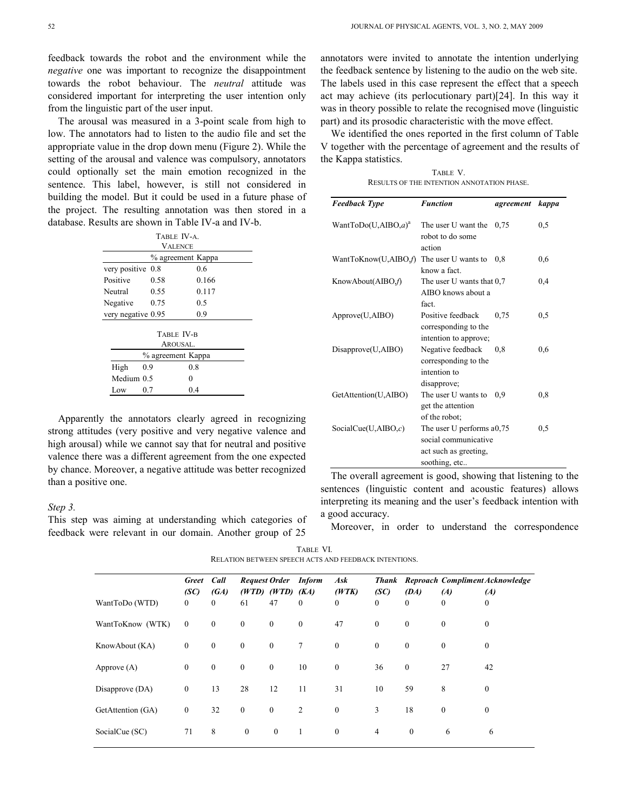feedback towards the robot and the environment while the *negative* one was important to recognize the disappointment towards the robot behaviour. The *neutral* attitude was considered important for interpreting the user intention only from the linguistic part of the user input.

The arousal was measured in a 3-point scale from high to low. The annotators had to listen to the audio file and set the appropriate value in the drop down menu (Figure 2). While the setting of the arousal and valence was compulsory, annotators could optionally set the main emotion recognized in the sentence. This label, however, is still not considered in building the model. But it could be used in a future phase of the project. The resulting annotation was then stored in a database. Results are shown in Table IV-a and IV-b.

| TABLE IV-A.        |                           |       |  |  |  |  |  |
|--------------------|---------------------------|-------|--|--|--|--|--|
| <b>VALENCE</b>     |                           |       |  |  |  |  |  |
|                    | % agreement Kappa         |       |  |  |  |  |  |
| very positive      | 0.8                       | 0.6   |  |  |  |  |  |
| Positive           | 0.58                      | 0.166 |  |  |  |  |  |
| Neutral            | 0.55                      | 0.117 |  |  |  |  |  |
| Negative           | 0.75                      | 0.5   |  |  |  |  |  |
|                    | 0.9<br>very negative 0.95 |       |  |  |  |  |  |
|                    |                           |       |  |  |  |  |  |
| TABLE <b>IV-B</b>  |                           |       |  |  |  |  |  |
|                    | AROUSAL.                  |       |  |  |  |  |  |
| % agreement Kappa  |                           |       |  |  |  |  |  |
| 0.9<br>0.8<br>High |                           |       |  |  |  |  |  |
| Medium 0.5         |                           | 0     |  |  |  |  |  |
| Low                | 0.7                       | 0.4   |  |  |  |  |  |

Apparently the annotators clearly agreed in recognizing strong attitudes (very positive and very negative valence and high arousal) while we cannot say that for neutral and positive valence there was a different agreement from the one expected by chance. Moreover, a negative attitude was better recognized than a positive one.

#### *Step 3.*

This step was aiming at understanding which categories of feedback were relevant in our domain. Another group of 25

annotators were invited to annotate the intention underlying the feedback sentence by listening to the audio on the web site. The labels used in this case represent the effect that a speech act may achieve (its perlocutionary part)[24]. In this way it was in theory possible to relate the recognised move (linguistic part) and its prosodic characteristic with the move effect.

We identified the ones reported in the first column of Table V together with the percentage of agreement and the results of the Kappa statistics.

TABLE V. RESULTS OF THE INTENTION ANNOTATION PHASE.

| <b>Feedback Type</b>             | <b>Function</b>                                                                             | agreement | kappa |
|----------------------------------|---------------------------------------------------------------------------------------------|-----------|-------|
| Want $\text{ToDo}(U, AIBO, a)^a$ | The user U want the<br>robot to do some<br>action                                           | 0.75      | 0,5   |
| WantToKnow(U,AIBO,f)             | The user U wants to<br>know a fact                                                          | 0.8       | 0,6   |
| KnowAbout(AIBO,f)                | The user U wants that $0.7$<br>AIBO knows about a<br>fact.                                  |           | 0,4   |
| Approve(U,AIBO)                  | Positive feedback<br>corresponding to the<br>intention to approve;                          | 0.75      | 0,5   |
| Disapprove(U,AIBO)               | Negative feedback<br>corresponding to the<br>intention to<br>disapprove;                    | 0.8       | 0,6   |
| GetAttention(U,AIBO)             | The user U wants to<br>get the attention<br>of the robot;                                   | 0,9       | 0,8   |
| SocialCue(U,AIBO, $c$ )          | The user U performs a0,75<br>social communicative<br>act such as greeting,<br>soothing, etc |           | 0,5   |

The overall agreement is good, showing that listening to the sentences (linguistic content and acoustic features) allows interpreting its meaning and the user's feedback intention with a good accuracy.

Moreover, in order to understand the correspondence

| TABLE VI.                                             |  |
|-------------------------------------------------------|--|
| RELATION BETWEEN SPEECH ACTS AND FEEDBACK INTENTIONS. |  |
|                                                       |  |

|                   | Greet Call             |                      | <b>Request Order</b> Inform |                              |              | Ask                     |                      |                  |                     | Thank Reproach Compliment Acknowledge |
|-------------------|------------------------|----------------------|-----------------------------|------------------------------|--------------|-------------------------|----------------------|------------------|---------------------|---------------------------------------|
| WantToDo (WTD)    | (SC)<br>$\overline{0}$ | (GA)<br>$\mathbf{0}$ | 61                          | $(WTD)$ $(WTD)$ $(KA)$<br>47 | $\theta$     | (WTK)<br>$\overline{0}$ | (SC)<br>$\mathbf{0}$ | (DA)<br>$\theta$ | (A)<br>$\mathbf{0}$ | (A)<br>$\mathbf{0}$                   |
| WantToKnow (WTK)  | $\overline{0}$         | $\boldsymbol{0}$     | $\mathbf{0}$                | $\boldsymbol{0}$             | $\mathbf{0}$ | 47                      | $\mathbf{0}$         | $\mathbf{0}$     | $\mathbf{0}$        | $\bf{0}$                              |
| KnowAbout (KA)    | $\bf{0}$               | $\boldsymbol{0}$     | $\mathbf{0}$                | $\boldsymbol{0}$             | $\tau$       | $\boldsymbol{0}$        | $\mathbf{0}$         | $\mathbf{0}$     | $\mathbf{0}$        | $\mathbf{0}$                          |
| Approve $(A)$     | $\overline{0}$         | $\boldsymbol{0}$     | $\bf{0}$                    | $\boldsymbol{0}$             | 10           | $\boldsymbol{0}$        | 36                   | $\mathbf{0}$     | 27                  | 42                                    |
| Disapprove (DA)   | $\overline{0}$         | 13                   | 28                          | 12                           | 11           | 31                      | 10                   | 59               | 8                   | $\mathbf{0}$                          |
| GetAttention (GA) | $\mathbf{0}$           | 32                   | $\boldsymbol{0}$            | $\boldsymbol{0}$             | 2            | $\overline{0}$          | 3                    | 18               | $\mathbf{0}$        | $\mathbf{0}$                          |
| SocialCue (SC)    | 71                     | 8                    | $\boldsymbol{0}$            | $\overline{0}$               | 1            | $\boldsymbol{0}$        | $\overline{4}$       | $\bf{0}$         | 6                   | 6                                     |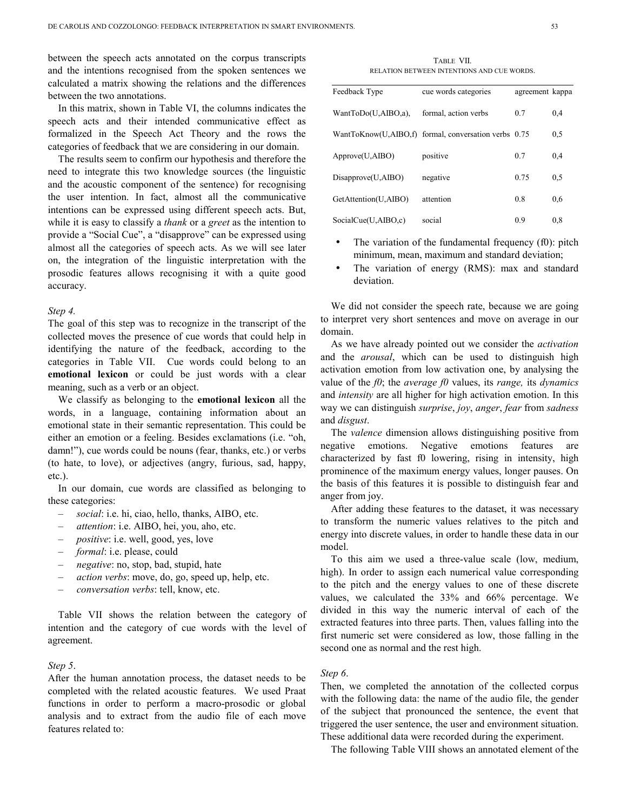between the speech acts annotated on the corpus transcripts and the intentions recognised from the spoken sentences we calculated a matrix showing the relations and the differences between the two annotations.

In this matrix, shown in Table VI, the columns indicates the speech acts and their intended communicative effect as formalized in the Speech Act Theory and the rows the categories of feedback that we are considering in our domain.

The results seem to confirm our hypothesis and therefore the need to integrate this two knowledge sources (the linguistic and the acoustic component of the sentence) for recognising the user intention. In fact, almost all the communicative intentions can be expressed using different speech acts. But, while it is easy to classify a *thank* or a *greet* as the intention to provide a "Social Cue", a "disapprove" can be expressed using almost all the categories of speech acts. As we will see later on, the integration of the linguistic interpretation with the prosodic features allows recognising it with a quite good accuracy.

#### *Step 4.*

The goal of this step was to recognize in the transcript of the collected moves the presence of cue words that could help in identifying the nature of the feedback, according to the categories in Table VII. Cue words could belong to an **emotional lexicon** or could be just words with a clear meaning, such as a verb or an object.

We classify as belonging to the **emotional lexicon** all the words, in a language, containing information about an emotional state in their semantic representation. This could be either an emotion or a feeling. Besides exclamations (i.e. "oh, damn!"), cue words could be nouns (fear, thanks, etc.) or verbs (to hate, to love), or adjectives (angry, furious, sad, happy, etc.).

In our domain, cue words are classified as belonging to these categories:

- *social*: i.e. hi, ciao, hello, thanks, AIBO, etc.
- *attention*: i.e. AIBO, hei, you, aho, etc.
- *positive*: i.e. well, good, yes, love
- *formal*: i.e. please, could
- *negative*: no, stop, bad, stupid, hate
- *action verbs*: move, do, go, speed up, help, etc.
- *conversation verbs*: tell, know, etc.

Table VII shows the relation between the category of intention and the category of cue words with the level of agreement.

### *Step 5*.

After the human annotation process, the dataset needs to be completed with the related acoustic features. We used Praat functions in order to perform a macro-prosodic or global analysis and to extract from the audio file of each move features related to:

TABLE VII. RELATION BETWEEN INTENTIONS AND CUE WORDS.

| Feedback Type        | cue words categories                                 | agreement kappa |     |
|----------------------|------------------------------------------------------|-----------------|-----|
| WantToDo(U,AIBO,a),  | formal, action verbs                                 | 0.7             | 0,4 |
|                      | WantToKnow(U,AIBO,f) formal, conversation verbs 0.75 |                 | 0,5 |
| Approve(U,AIBO)      | positive                                             | 0.7             | 0,4 |
| Disapprove(U,AIBO)   | negative                                             | 0.75            | 0,5 |
| GetAttention(U,AIBO) | attention                                            | 0.8             | 0.6 |
| SocialCue(U,AIBO,c)  | social                                               | 0.9             | 0.8 |

- The variation of the fundamental frequency  $(f0)$ : pitch minimum, mean, maximum and standard deviation;
- The variation of energy (RMS): max and standard deviation.

We did not consider the speech rate, because we are going to interpret very short sentences and move on average in our domain.

As we have already pointed out we consider the *activation* and the *arousal*, which can be used to distinguish high activation emotion from low activation one, by analysing the value of the *f0*; the *average f0* values, its *range,* its *dynamics* and *intensity* are all higher for high activation emotion. In this way we can distinguish *surprise*, *joy*, *anger*, *fear* from *sadness* and *disgust*.

The *valence* dimension allows distinguishing positive from negative emotions. Negative emotions features are characterized by fast f0 lowering, rising in intensity, high prominence of the maximum energy values, longer pauses. On the basis of this features it is possible to distinguish fear and anger from joy.

After adding these features to the dataset, it was necessary to transform the numeric values relatives to the pitch and energy into discrete values, in order to handle these data in our model.

To this aim we used a three-value scale (low, medium, high). In order to assign each numerical value corresponding to the pitch and the energy values to one of these discrete values, we calculated the 33% and 66% percentage. We divided in this way the numeric interval of each of the extracted features into three parts. Then, values falling into the first numeric set were considered as low, those falling in the second one as normal and the rest high.

#### *Step 6*.

Then, we completed the annotation of the collected corpus with the following data: the name of the audio file, the gender of the subject that pronounced the sentence, the event that triggered the user sentence, the user and environment situation. These additional data were recorded during the experiment.

The following Table VIII shows an annotated element of the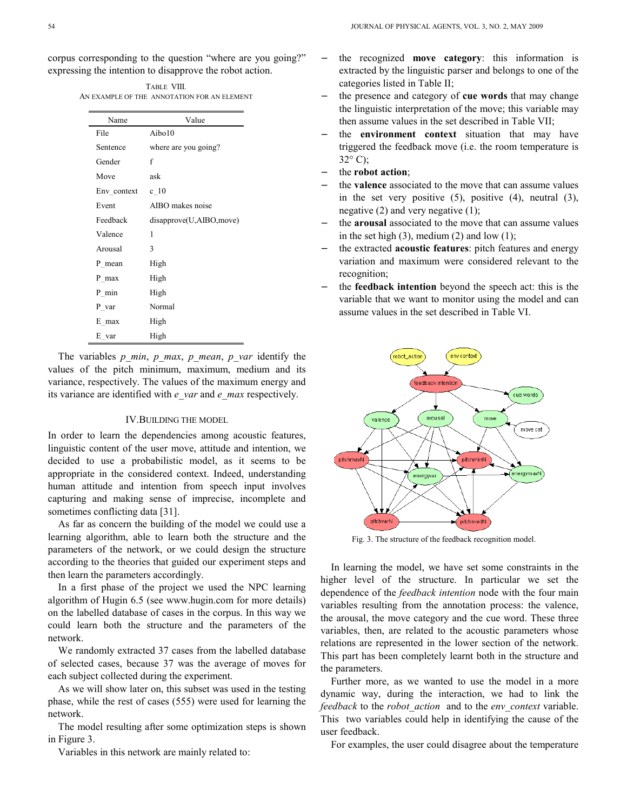corpus corresponding to the question "where are you going?" expressing the intention to disapprove the robot action.

| TABLE VIII.                                 |
|---------------------------------------------|
| AN EXAMPLE OF THE ANNOTATION FOR AN ELEMENT |

| Name        | Value                   |
|-------------|-------------------------|
| File        | Aibo10                  |
| Sentence    | where are you going?    |
| Gender      | f                       |
| Move        | ask                     |
| Env context | c <sub>10</sub>         |
| Event       | AIBO makes noise        |
| Feedback    | disapprove(U,AIBO,move) |
| Valence     | 1                       |
| Arousal     | 3                       |
| P mean      | High                    |
| P max       | High                    |
| P min       | High                    |
| P var       | Normal                  |
| E max       | High                    |
| E var       | High                    |

The variables *p\_min*, *p\_max*, *p\_mean*, *p\_var* identify the values of the pitch minimum, maximum, medium and its variance, respectively. The values of the maximum energy and its variance are identified with *e\_var* and *e\_max* respectively.

#### IV.BUILDING THE MODEL

In order to learn the dependencies among acoustic features, linguistic content of the user move, attitude and intention, we decided to use a probabilistic model, as it seems to be appropriate in the considered context. Indeed, understanding human attitude and intention from speech input involves capturing and making sense of imprecise, incomplete and sometimes conflicting data [31].

As far as concern the building of the model we could use a learning algorithm, able to learn both the structure and the parameters of the network, or we could design the structure according to the theories that guided our experiment steps and then learn the parameters accordingly.

In a first phase of the project we used the NPC learning algorithm of Hugin 6.5 (see www.hugin.com for more details) on the labelled database of cases in the corpus. In this way we could learn both the structure and the parameters of the network.

We randomly extracted 37 cases from the labelled database of selected cases, because 37 was the average of moves for each subject collected during the experiment.

As we will show later on, this subset was used in the testing phase, while the rest of cases (555) were used for learning the network.

The model resulting after some optimization steps is shown in Figure 3.

Variables in this network are mainly related to:

- − the recognized **move category**: this information is extracted by the linguistic parser and belongs to one of the categories listed in Table II;
- − the presence and category of **cue words** that may change the linguistic interpretation of the move; this variable may then assume values in the set described in Table VII;
- the **environment context** situation that may have triggered the feedback move (i.e. the room temperature is  $32^{\circ}$  C):
- the **robot** action;
- the **valence** associated to the move that can assume values in the set very positive  $(5)$ , positive  $(4)$ , neutral  $(3)$ , negative  $(2)$  and very negative  $(1)$ ;
- the **arousal** associated to the move that can assume values in the set high  $(3)$ , medium  $(2)$  and low  $(1)$ ;
- − the extracted **acoustic features**: pitch features and energy variation and maximum were considered relevant to the recognition;
- the **feedback intention** beyond the speech act: this is the variable that we want to monitor using the model and can assume values in the set described in Table VI.



Fig. 3. The structure of the feedback recognition model.

In learning the model, we have set some constraints in the higher level of the structure. In particular we set the dependence of the *feedback intention* node with the four main variables resulting from the annotation process: the valence, the arousal, the move category and the cue word. These three variables, then, are related to the acoustic parameters whose relations are represented in the lower section of the network. This part has been completely learnt both in the structure and the parameters.

Further more, as we wanted to use the model in a more dynamic way, during the interaction, we had to link the *feedback* to the *robot\_action* and to the *env\_context* variable. This two variables could help in identifying the cause of the user feedback.

For examples, the user could disagree about the temperature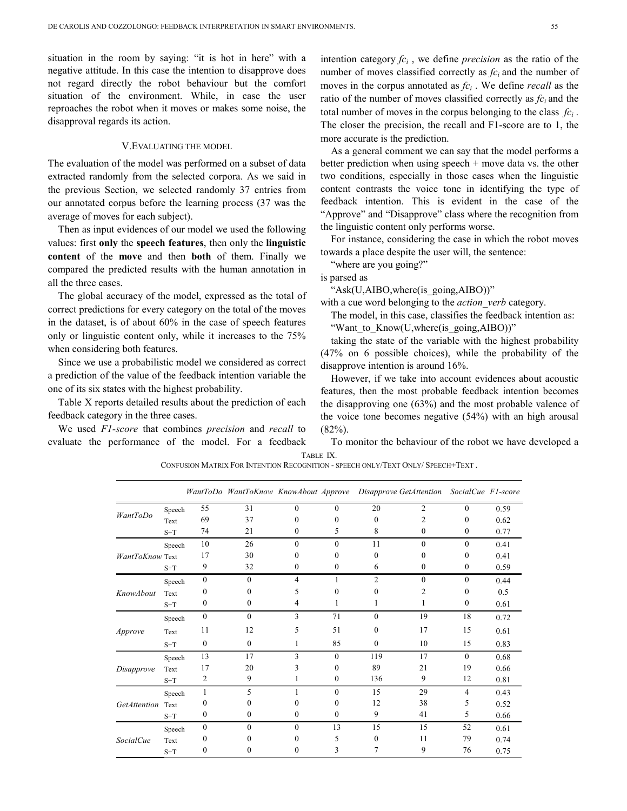situation in the room by saying: "it is hot in here" with a negative attitude. In this case the intention to disapprove does not regard directly the robot behaviour but the comfort situation of the environment. While, in case the user reproaches the robot when it moves or makes some noise, the disapproval regards its action.

# V.EVALUATING THE MODEL

The evaluation of the model was performed on a subset of data extracted randomly from the selected corpora. As we said in the previous Section, we selected randomly 37 entries from our annotated corpus before the learning process (37 was the average of moves for each subject).

Then as input evidences of our model we used the following values: first **only** the **speech features**, then only the **linguistic content** of the **move** and then **both** of them. Finally we compared the predicted results with the human annotation in all the three cases.

The global accuracy of the model, expressed as the total of correct predictions for every category on the total of the moves in the dataset, is of about 60% in the case of speech features only or linguistic content only, while it increases to the 75% when considering both features.

Since we use a probabilistic model we considered as correct a prediction of the value of the feedback intention variable the one of its six states with the highest probability.

Table X reports detailed results about the prediction of each feedback category in the three cases.

We used *F1-score* that combines *precision* and *recall* to evaluate the performance of the model. For a feedback

intention category *fc<sup>i</sup>* , we define *precision* as the ratio of the number of moves classified correctly as *fci* and the number of moves in the corpus annotated as *fc<sup>i</sup>* . We define *recall* as the ratio of the number of moves classified correctly as  $fc<sub>i</sub>$  and the total number of moves in the corpus belonging to the class *fc<sup>i</sup>* . The closer the precision, the recall and F1-score are to 1, the more accurate is the prediction.

As a general comment we can say that the model performs a better prediction when using speech + move data vs. the other two conditions, especially in those cases when the linguistic content contrasts the voice tone in identifying the type of feedback intention. This is evident in the case of the "Approve" and "Disapprove" class where the recognition from the linguistic content only performs worse.

For instance, considering the case in which the robot moves towards a place despite the user will, the sentence:

"where are you going?"

is parsed as

"Ask(U,AIBO,where(is\_going,AIBO))"

with a cue word belonging to the *action* verb category.

The model, in this case, classifies the feedback intention as: "Want to Know(U,where(is going,AIBO))"

taking the state of the variable with the highest probability (47% on 6 possible choices), while the probability of the disapprove intention is around 16%.

However, if we take into account evidences about acoustic features, then the most probable feedback intention becomes the disapproving one (63%) and the most probable valence of the voice tone becomes negative (54%) with an high arousal  $(82\%)$ .

To monitor the behaviour of the robot we have developed a TABLE IX.

CONFUSION MATRIX FOR INTENTION RECOGNITION - SPEECH ONLY/TEXT ONLY/ SPEECH+TEXT .

|                   |        |                  | WantToDo WantToKnow KnowAbout Approve Disapprove GetAttention |          |              |                  |              |              | SocialCue F1-score |
|-------------------|--------|------------------|---------------------------------------------------------------|----------|--------------|------------------|--------------|--------------|--------------------|
|                   | Speech | 55               | 31                                                            | 0        | $\theta$     | 20               | 2            | $\mathbf{0}$ | 0.59               |
| WantToDo          | Text   | 69               | 37                                                            | 0        | $\theta$     | $\theta$         | 2            | 0            | 0.62               |
|                   | $S+T$  | 74               | 21                                                            | 0        | 5            | 8                | $\mathbf{0}$ | $\mathbf{0}$ | 0.77               |
|                   | Speech | 10               | 26                                                            | $\theta$ | $\theta$     | 11               | $\theta$     | $\theta$     | 0.41               |
| WantToKnow Text   |        | 17               | 30                                                            | $\theta$ | $\Omega$     | $\boldsymbol{0}$ | $\Omega$     | 0            | 0.41               |
|                   | $S+T$  | 9                | 32                                                            | 0        | 0            | 6                | 0            | 0            | 0.59               |
|                   | Speech | $\mathbf{0}$     | $\theta$                                                      | 4        |              | $\overline{2}$   | $\Omega$     | $\theta$     | 0.44               |
| KnowAbout         | Text   | 0                | 0                                                             | 5        | $\theta$     | $\boldsymbol{0}$ | 2            | 0            | 0.5                |
|                   | $S+T$  | 0                | $\mathbf{0}$                                                  | 4        | 1            | 1                | 1            | $\mathbf{0}$ | 0.61               |
|                   | Speech | $\mathbf{0}$     | $\theta$                                                      | 3        | 71           | $\mathbf{0}$     | 19           | 18           | 0.72               |
| Approve           | Text   | 11               | 12                                                            | 5        | 51           | $\mathbf{0}$     | 17           | 15           | 0.61               |
|                   | $S+T$  | $\mathbf{0}$     | $\mathbf{0}$                                                  | 1        | 85           | $\mathbf{0}$     | 10           | 15           | 0.83               |
|                   | Speech | 13               | 17                                                            | 3        | $\mathbf{0}$ | 119              | 17           | $\theta$     | 0.68               |
| Disapprove        | Text   | 17               | 20                                                            | 3        | $\theta$     | 89               | 21           | 19           | 0.66               |
|                   | $S+T$  | 2                | 9                                                             |          | $\bf{0}$     | 136              | 9            | 12           | 0.81               |
|                   | Speech | 1                | 5                                                             | 1        | $\theta$     | 15               | 29           | 4            | 0.43               |
| GetAttention Text |        | $\boldsymbol{0}$ | 0                                                             | $\theta$ | $\theta$     | 12               | 38           | 5            | 0.52               |
|                   | $S+T$  | 0                | 0                                                             | 0        | $\mathbf{0}$ | 9                | 41           | 5            | 0.66               |
|                   | Speech | $\mathbf{0}$     | $\Omega$                                                      | $\theta$ | 13           | 15               | 15           | 52           | 0.61               |
| <i>SocialCue</i>  | Text   | $\theta$         | 0                                                             | $^{(1)}$ | 5            | $\mathbf{0}$     | 11           | 79           | 0.74               |
|                   | $S+T$  | $\boldsymbol{0}$ | 0                                                             | 0        | 3            | 7                | 9            | 76           | 0.75               |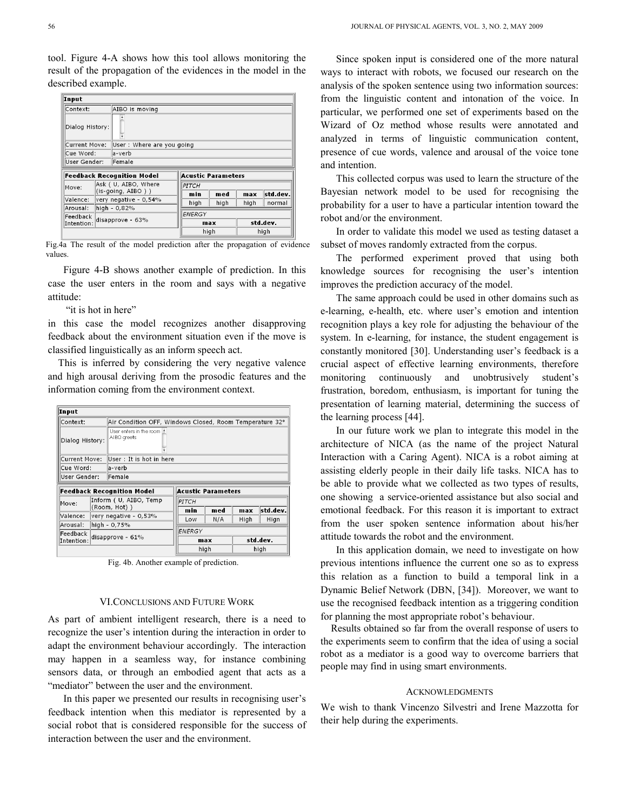tool. Figure 4-A shows how this tool allows monitoring the result of the propagation of the evidences in the model in the described example.

| Input                             |                      |                           |  |                           |      |          |          |  |  |  |
|-----------------------------------|----------------------|---------------------------|--|---------------------------|------|----------|----------|--|--|--|
| Context:                          |                      | AIBO is moving            |  |                           |      |          |          |  |  |  |
| Dialog History:                   |                      |                           |  |                           |      |          |          |  |  |  |
| Current Move:                     |                      | User: Where are you going |  |                           |      |          |          |  |  |  |
| Cue Word:                         |                      | la-verb                   |  |                           |      |          |          |  |  |  |
| User Gender:                      |                      | Female                    |  |                           |      |          |          |  |  |  |
| <b>Feedback Recognition Model</b> |                      |                           |  | <b>Acustic Parameters</b> |      |          |          |  |  |  |
| Move:                             | Ask ( U, AIBO, Where |                           |  | PITCH                     |      |          |          |  |  |  |
|                                   |                      | (is-going, AIBO ) )       |  | min                       | med  | max      | std dev. |  |  |  |
| Valence:                          |                      | very negative - 0,54%     |  | high                      | high | high     | normal   |  |  |  |
| Arousal:                          |                      | high - 0,82%              |  |                           |      |          |          |  |  |  |
| Feedback<br>Intention:            | disapprove - 63%     |                           |  | ENERGY<br>max             |      | std.dev. |          |  |  |  |
|                                   |                      |                           |  | high                      |      | high     |          |  |  |  |

Fig.4a The result of the model prediction after the propagation of evidence values.

Figure 4-B shows another example of prediction. In this case the user enters in the room and says with a negative attitude:

"it is hot in here"

in this case the model recognizes another disapproving feedback about the environment situation even if the move is classified linguistically as an inform speech act.

This is inferred by considering the very negative valence and high arousal deriving from the prosodic features and the information coming from the environment context.

| Input                  |  |                                                         |                           |     |      |          |  |  |  |  |
|------------------------|--|---------------------------------------------------------|---------------------------|-----|------|----------|--|--|--|--|
| Context:               |  | Air Condition OFF, Windows Closed, Room Temperature 32° |                           |     |      |          |  |  |  |  |
| Dialog History:        |  | User enters in the room Le<br>AIBO greets               |                           |     |      |          |  |  |  |  |
| Current Move:          |  | User : It is hot in here                                |                           |     |      |          |  |  |  |  |
| Cue Word:              |  | la-verb                                                 |                           |     |      |          |  |  |  |  |
| User Gender:           |  | Female                                                  |                           |     |      |          |  |  |  |  |
|                        |  | <b>Feedback Recognition Model</b>                       | <b>Acustic Parameters</b> |     |      |          |  |  |  |  |
| Move:                  |  | Inform ( U, AIBO, Temp                                  | PITCH                     |     |      |          |  |  |  |  |
|                        |  |                                                         |                           |     |      |          |  |  |  |  |
|                        |  | (Room, Hot))                                            | min                       | med | max  | std dev. |  |  |  |  |
| Valence:               |  | very negative - 0,53%                                   | Low                       | N/A | High | Hign     |  |  |  |  |
| Arousal:               |  | high - 0,75%                                            |                           |     |      |          |  |  |  |  |
| Feedback<br>Intention: |  | disapprove - 61%                                        | ENERGY<br>max             |     |      | std.dev  |  |  |  |  |

Fig. 4b. Another example of prediction.

# VI.CONCLUSIONS AND FUTURE WORK

As part of ambient intelligent research, there is a need to recognize the user's intention during the interaction in order to adapt the environment behaviour accordingly. The interaction may happen in a seamless way, for instance combining sensors data, or through an embodied agent that acts as a "mediator" between the user and the environment.

In this paper we presented our results in recognising user's feedback intention when this mediator is represented by a social robot that is considered responsible for the success of interaction between the user and the environment.

Since spoken input is considered one of the more natural ways to interact with robots, we focused our research on the analysis of the spoken sentence using two information sources: from the linguistic content and intonation of the voice. In particular, we performed one set of experiments based on the Wizard of Oz method whose results were annotated and analyzed in terms of linguistic communication content, presence of cue words, valence and arousal of the voice tone and intention.

This collected corpus was used to learn the structure of the Bayesian network model to be used for recognising the probability for a user to have a particular intention toward the robot and/or the environment.

In order to validate this model we used as testing dataset a subset of moves randomly extracted from the corpus.

The performed experiment proved that using both knowledge sources for recognising the user's intention improves the prediction accuracy of the model.

The same approach could be used in other domains such as e-learning, e-health, etc. where user's emotion and intention recognition plays a key role for adjusting the behaviour of the system. In e-learning, for instance, the student engagement is constantly monitored [30]. Understanding user's feedback is a crucial aspect of effective learning environments, therefore monitoring continuously and unobtrusively student's frustration, boredom, enthusiasm, is important for tuning the presentation of learning material, determining the success of the learning process [44].

In our future work we plan to integrate this model in the architecture of NICA (as the name of the project Natural Interaction with a Caring Agent). NICA is a robot aiming at assisting elderly people in their daily life tasks. NICA has to be able to provide what we collected as two types of results, one showing a service-oriented assistance but also social and emotional feedback. For this reason it is important to extract from the user spoken sentence information about his/her attitude towards the robot and the environment.

In this application domain, we need to investigate on how previous intentions influence the current one so as to express this relation as a function to build a temporal link in a Dynamic Belief Network (DBN, [34]). Moreover, we want to use the recognised feedback intention as a triggering condition for planning the most appropriate robot's behaviour.

Results obtained so far from the overall response of users to the experiments seem to confirm that the idea of using a social robot as a mediator is a good way to overcome barriers that people may find in using smart environments.

#### ACKNOWLEDGMENTS

We wish to thank Vincenzo Silvestri and Irene Mazzotta for their help during the experiments.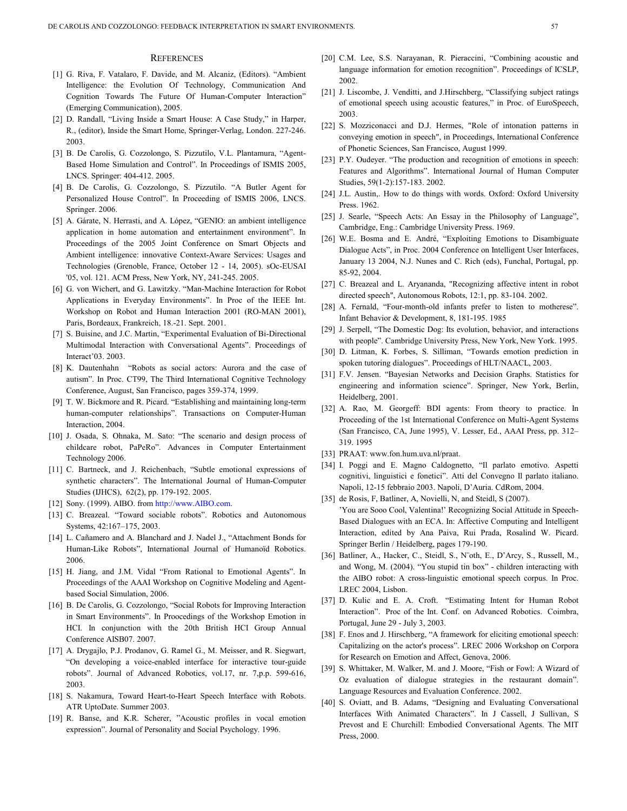#### **REFERENCES**

- [1] G. Riva, F. Vatalaro, F. Davide, and M. Alcaniz, (Editors). "Ambient Intelligence: the Evolution Of Technology, Communication And Cognition Towards The Future Of Human-Computer Interaction" (Emerging Communication), 2005.
- [2] D. Randall, "Living Inside a Smart House: A Case Study," in Harper, R., (editor), Inside the Smart Home, Springer-Verlag, London. 227-246. 2003.
- [3] B. De Carolis, G. Cozzolongo, S. Pizzutilo, V.L. Plantamura, "Agent-Based Home Simulation and Control". In Proceedings of ISMIS 2005, LNCS. Springer: 404-412. 2005.
- [4] B. De Carolis, G. Cozzolongo, S. Pizzutilo. "A Butler Agent for Personalized House Control". In Proceeding of ISMIS 2006, LNCS. Springer. 2006.
- [5] A. Gárate, N. Herrasti, and A. López, "GENIO: an ambient intelligence application in home automation and entertainment environment". In Proceedings of the 2005 Joint Conference on Smart Objects and Ambient intelligence: innovative Context-Aware Services: Usages and Technologies (Grenoble, France, October 12 - 14, 2005). sOc-EUSAI '05, vol. 121. ACM Press, New York, NY, 241-245. 2005.
- [6] G. von Wichert, and G. Lawitzky. "Man-Machine Interaction for Robot Applications in Everyday Environments". In Proc of the IEEE Int. Workshop on Robot and Human Interaction 2001 (RO-MAN 2001), Paris, Bordeaux, Frankreich, 18.-21. Sept. 2001.
- [7] S. Buisine, and J.C. Martin, "Experimental Evaluation of Bi-Directional Multimodal Interaction with Conversational Agents". Proceedings of Interact'03. 2003.
- [8] K. Dautenhahn "Robots as social actors: Aurora and the case of autism". In Proc. CT99, The Third International Cognitive Technology Conference, August, San Francisco, pages 359-374, 1999.
- [9] T. W. Bickmore and R. Picard. "Establishing and maintaining long-term human-computer relationships". Transactions on Computer-Human Interaction, 2004.
- [10] J. Osada, S. Ohnaka, M. Sato: "The scenario and design process of childcare robot, PaPeRo". Advances in Computer Entertainment Technology 2006.
- [11] C. Bartneck, and J. Reichenbach, "Subtle emotional expressions of synthetic characters". The International Journal of Human-Computer Studies (IJHCS), 62(2), pp. 179-192. 2005.
- [12] Sony. (1999). AIBO. from http://www.AIBO.com.
- [13] C. Breazeal. "Toward sociable robots". Robotics and Autonomous Systems, 42:167–175, 2003.
- [14] L. Cañamero and A. Blanchard and J. Nadel J., "Attachment Bonds for Human-Like Robots", International Journal of Humanoïd Robotics. 2006.
- [15] H. Jiang, and J.M. Vidal "From Rational to Emotional Agents". In Proceedings of the AAAI Workshop on Cognitive Modeling and Agentbased Social Simulation, 2006.
- [16] B. De Carolis, G. Cozzolongo, "Social Robots for Improving Interaction in Smart Environments". In Proocedings of the Workshop Emotion in HCI. In conjunction with the 20th British HCI Group Annual Conference AISB07. 2007.
- [17] A. Drygajlo, P.J. Prodanov, G. Ramel G., M. Meisser, and R. Siegwart, "On developing a voice-enabled interface for interactive tour-guide robots". Journal of Advanced Robotics, vol.17, nr. 7,p.p. 599-616, 2003.
- [18] S. Nakamura, Toward Heart-to-Heart Speech Interface with Robots. ATR UptoDate. Summer 2003.
- [19] R. Banse, and K.R. Scherer, "Acoustic profiles in vocal emotion expression". Journal of Personality and Social Psychology. 1996.
- [20] C.M. Lee, S.S. Narayanan, R. Pieraccini, "Combining acoustic and language information for emotion recognition". Proceedings of ICSLP, 2002.
- [21] J. Liscombe, J. Venditti, and J.Hirschberg, "Classifying subject ratings of emotional speech using acoustic features," in Proc. of EuroSpeech, 2003.
- [22] S. Mozziconacci and D.J. Hermes, "Role of intonation patterns in conveying emotion in speech", in Proceedings, International Conference of Phonetic Sciences, San Francisco, August 1999.
- [23] P.Y. Oudeyer. "The production and recognition of emotions in speech: Features and Algorithms". International Journal of Human Computer Studies, 59(1-2):157-183. 2002.
- [24] J.L. Austin,. How to do things with words. Oxford: Oxford University Press. 1962.
- [25] J. Searle, "Speech Acts: An Essay in the Philosophy of Language", Cambridge, Eng.: Cambridge University Press. 1969.
- [26] W.E. Bosma and E. André, "Exploiting Emotions to Disambiguate Dialogue Acts", in Proc. 2004 Conference on Intelligent User Interfaces, January 13 2004, N.J. Nunes and C. Rich (eds), Funchal, Portugal, pp. 85-92, 2004.
- [27] C. Breazeal and L. Aryananda, "Recognizing affective intent in robot directed speech", Autonomous Robots, 12:1, pp. 83-104. 2002.
- [28] A. Fernald, "Four-month-old infants prefer to listen to motherese". Infant Behavior & Development, 8, 181-195. 1985
- [29] J. Serpell, "The Domestic Dog: Its evolution, behavior, and interactions with people". Cambridge University Press, New York, New York. 1995.
- [30] D. Litman, K. Forbes, S. Silliman, "Towards emotion prediction in spoken tutoring dialogues". Proceedings of HLT/NAACL, 2003.
- [31] F.V. Jensen. "Bayesian Networks and Decision Graphs. Statistics for engineering and information science". Springer, New York, Berlin, Heidelberg, 2001.
- [32] A. Rao, M. Georgeff: BDI agents: From theory to practice. In Proceeding of the 1st International Conference on Multi-Agent Systems (San Francisco, CA, June 1995), V. Lesser, Ed., AAAI Press, pp. 312– 319. 1995
- [33] PRAAT: www.fon.hum.uva.nl/praat.
- [34] I. Poggi and E. Magno Caldognetto, "Il parlato emotivo. Aspetti cognitivi, linguistici e fonetici". Atti del Convegno Il parlato italiano. Napoli, 12-15 febbraio 2003. Napoli, D'Auria. CdRom, 2004.
- [35] de Rosis, F, Batliner, A, Novielli, N, and Steidl, S (2007). 'You are Sooo Cool, Valentina!' Recognizing Social Attitude in Speech-Based Dialogues with an ECA. In: Affective Computing and Intelligent Interaction, edited by Ana Paiva, Rui Prada, Rosalind W. Picard. Springer Berlin / Heidelberg, pages 179-190.
- [36] Batliner, A., Hacker, C., Steidl, S., N¨oth, E., D'Arcy, S., Russell, M., and Wong, M. (2004). "You stupid tin box" - children interacting with the AIBO robot: A cross-linguistic emotional speech corpus. In Proc. LREC 2004, Lisbon.
- [37] D. Kulic and E. A. Croft. "Estimating Intent for Human Robot Interaction". Proc of the Int. Conf. on Advanced Robotics. Coimbra, Portugal, June 29 - July 3, 2003.
- [38] F. Enos and J. Hirschberg, "A framework for eliciting emotional speech: Capitalizing on the actor's process". LREC 2006 Workshop on Corpora for Research on Emotion and Affect, Genova, 2006.
- [39] S. Whittaker, M. Walker, M. and J. Moore, "Fish or Fowl: A Wizard of Oz evaluation of dialogue strategies in the restaurant domain". Language Resources and Evaluation Conference. 2002.
- [40] S. Oviatt, and B. Adams, "Designing and Evaluating Conversational Interfaces With Animated Characters". In J Cassell, J Sullivan, S Prevost and E Churchill: Embodied Conversational Agents. The MIT Press, 2000.